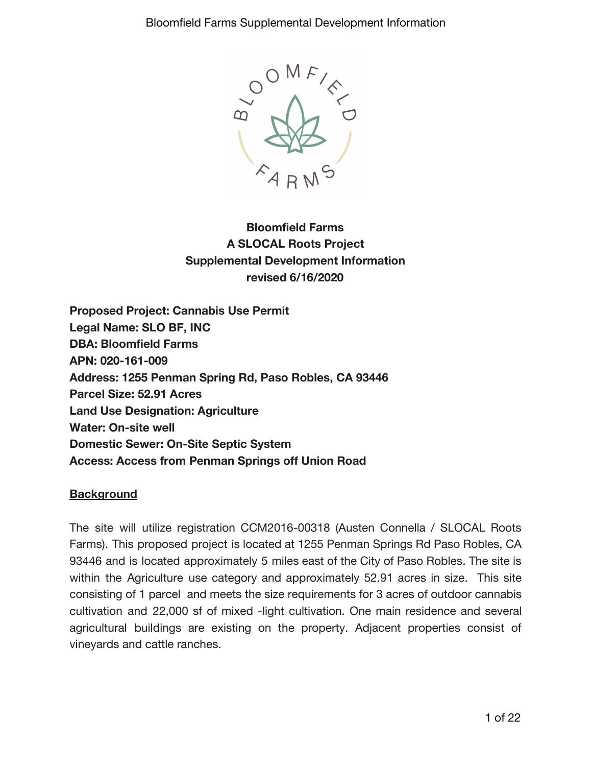

**Bloomfield Farms A SLOCAL Roots Project Supplemental Development Information revised 6/16/2020**

**Proposed Project: Cannabis Use Permit Legal Name: SLO BF, INC DBA: Bloomfield Farms APN: 020-161-009 Address: 1255 Penman Spring Rd, Paso Robles, CA 93446 Parcel Size: 52.91 Acres Land Use Designation: Agriculture Water: On-site well Domestic Sewer: On-Site Septic System Access: Access from Penman Springs off Union Road**

### **Background**

The site will utilize registration CCM2016-00318 (Austen Connella / SLOCAL Roots Farms). This proposed project is located at 1255 Penman Springs Rd Paso Robles, CA 93446 and is located approximately 5 miles east of the City of Paso Robles. The site is within the Agriculture use category and approximately 52.91 acres in size. This site consisting of 1 parcel and meets the size requirements for 3 acres of outdoor cannabis cultivation and 22,000 sf of mixed -light cultivation. One main residence and several agricultural buildings are existing on the property. Adjacent properties consist of vineyards and cattle ranches.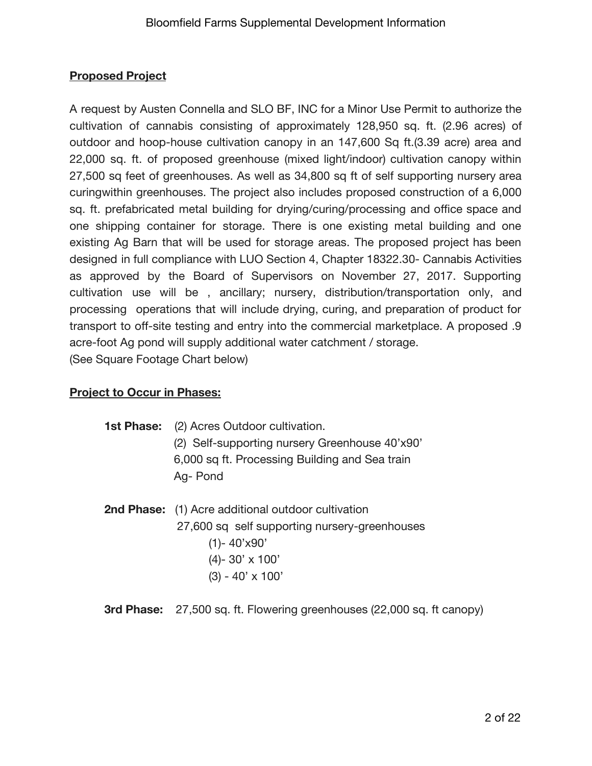# **Proposed Project**

A request by Austen Connella and SLO BF, INC for a Minor Use Permit to authorize the cultivation of cannabis consisting of approximately 128,950 sq. ft. (2.96 acres) of outdoor and hoop-house cultivation canopy in an 147,600 Sq ft.(3.39 acre) area and 22,000 sq. ft. of proposed greenhouse (mixed light/indoor) cultivation canopy within 27,500 sq feet of greenhouses. As well as 34,800 sq ft of self supporting nursery area curingwithin greenhouses. The project also includes proposed construction of a 6,000 sq. ft. prefabricated metal building for drying/curing/processing and office space and one shipping container for storage. There is one existing metal building and one existing Ag Barn that will be used for storage areas. The proposed project has been designed in full compliance with LUO Section 4, Chapter 18322.30- Cannabis Activities as approved by the Board of Supervisors on November 27, 2017. Supporting cultivation use will be , ancillary; nursery, distribution/transportation only, and processing operations that will include drying, curing, and preparation of product for transport to off-site testing and entry into the commercial marketplace. A proposed .9 acre-foot Ag pond will supply additional water catchment / storage. (See Square Footage Chart below)

# **Project to Occur in Phases:**

1st Phase: (2) Acres Outdoor cultivation. (2) Self-supporting nursery Greenhouse 40'x90' 6,000 sq ft. Processing Building and Sea train Ag- Pond

- **2nd Phase:** (1) Acre additional outdoor cultivation 27,600 sq self supporting nursery-greenhouses (1)- 40'x90' (4)- 30' x 100' (3) - 40' x 100'
- **3rd Phase:** 27,500 sq. ft. Flowering greenhouses (22,000 sq. ft canopy)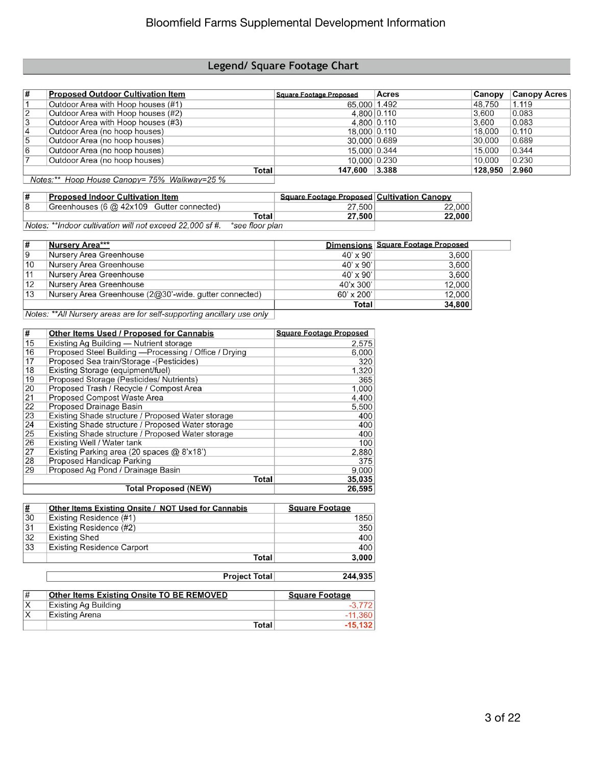## Legend/ Square Footage Chart

| 1#             | <b>Proposed Outdoor Cultivation Item</b> | <b>Square Footage Proposed</b> | Acres       | Canopy  | <b>Canopy Acres</b> |
|----------------|------------------------------------------|--------------------------------|-------------|---------|---------------------|
|                | Outdoor Area with Hoop houses (#1)       | 65,000 1.492                   |             | 48.750  | 1.119               |
| 2              | Outdoor Area with Hoop houses (#2)       |                                | 4.800 0.110 | 3.600   | 0.083               |
| 3              | Outdoor Area with Hoop houses (#3)       | 4.800 0.110                    |             | 3.600   | 0.083               |
| $\overline{4}$ | Outdoor Area (no hoop houses)            | 18,000 0.110                   |             | 18,000  | 0.110               |
| 5              | Outdoor Area (no hoop houses)            | 30,000 0.689                   |             | 30,000  | 0.689               |
| 6              | Outdoor Area (no hoop houses)            | 15,000 0.344                   |             | 15,000  | 0.344               |
|                | Outdoor Area (no hoop houses)            | 10,000 0.230                   |             | 10.000  | 0.230               |
|                | Total                                    | 147.600 3.388                  |             | 128.950 | 2.960               |

Notes:\*\* Hoop House Canopy= 75% Walkway=25 %

| # | <b>Proposed Indoor Cultivation Item</b>                                                                                                                                                                                                                                                                                            |       | <b>Square Footage Proposed Cultivation Canopy</b> |        |
|---|------------------------------------------------------------------------------------------------------------------------------------------------------------------------------------------------------------------------------------------------------------------------------------------------------------------------------------|-------|---------------------------------------------------|--------|
|   | Greenhouses (6 @ 42x109 Gutter connected)                                                                                                                                                                                                                                                                                          |       | 27,500                                            | 22,000 |
|   |                                                                                                                                                                                                                                                                                                                                    | Total | 27,500                                            | 22.000 |
|   | $\mathbf{M}$ $\mathbf{L}$ $\mathbf{L}$ $\mathbf{L}$ $\mathbf{L}$ $\mathbf{L}$ $\mathbf{L}$ $\mathbf{L}$ $\mathbf{L}$ $\mathbf{L}$ $\mathbf{L}$ $\mathbf{L}$ $\mathbf{L}$ $\mathbf{L}$ $\mathbf{L}$ $\mathbf{L}$ $\mathbf{L}$ $\mathbf{L}$ $\mathbf{L}$ $\mathbf{L}$ $\mathbf{L}$ $\mathbf{L}$ $\mathbf{L}$ $\mathbf{L}$ $\mathbf{$ |       |                                                   |        |

Notes: \*\*Indoor cultivation will not exceed 22,000 sf #. \*see floor plan

| l# | Nursery Area***                                                                                                                                                                                                                                                                                                                                                                                           |                   | Dimensions Square Footage Proposed |
|----|-----------------------------------------------------------------------------------------------------------------------------------------------------------------------------------------------------------------------------------------------------------------------------------------------------------------------------------------------------------------------------------------------------------|-------------------|------------------------------------|
| 19 | Nursery Area Greenhouse                                                                                                                                                                                                                                                                                                                                                                                   | $40' \times 90'$  | 3,600                              |
| 10 | Nursery Area Greenhouse                                                                                                                                                                                                                                                                                                                                                                                   | $40' \times 90'$  | 3,600                              |
| 11 | Nursery Area Greenhouse                                                                                                                                                                                                                                                                                                                                                                                   | $40' \times 90'$  | 3.600                              |
| 12 | Nursery Area Greenhouse                                                                                                                                                                                                                                                                                                                                                                                   | 40'x 300'         | 12,000                             |
| 13 | Nursery Area Greenhouse (2@30'-wide. gutter connected)                                                                                                                                                                                                                                                                                                                                                    | $60' \times 200'$ | 12,000                             |
|    |                                                                                                                                                                                                                                                                                                                                                                                                           | Total             | 34,800                             |
|    | $M_{\odot}$ ( $\rightarrow$ 0.1 M $\rightarrow$ 1.1 M $\rightarrow$ 1.1 m $\rightarrow$ 1.1 m $\rightarrow$ 1.1 m $\rightarrow$ 1.1 m $\rightarrow$ 1.1 m $\rightarrow$ 1.1 m $\rightarrow$ 1.1 m $\rightarrow$ 1.1 m $\rightarrow$ 1.1 m $\rightarrow$ 1.1 m $\rightarrow$ 1.1 m $\rightarrow$ 1.1 m $\rightarrow$ 1.1 m $\rightarrow$ 1.1 m $\rightarrow$ 1.1 m $\rightarrow$ 1.1 m $\rightarrow$ 1.1 m |                   |                                    |

Notes: \*\*All Nursery areas are for self-supporting ancillary use only

| #  | Other Items Used / Proposed for Cannabis               | <b>Square Footage Proposed</b> |
|----|--------------------------------------------------------|--------------------------------|
| 15 | Existing Ag Building - Nutrient storage                | 2,575                          |
| 16 | Proposed Steel Building - Processing / Office / Drying | 6,000                          |
| 17 | Proposed Sea train/Storage - (Pesticides)              | 320                            |
| 18 | Existing Storage (equipment/fuel)                      | 1,320                          |
| 19 | Proposed Storage (Pesticides/ Nutrients)               | 365                            |
| 20 | Proposed Trash / Recycle / Compost Area                | 1,000                          |
| 21 | Proposed Compost Waste Area                            | 4,400                          |
| 22 | Proposed Drainage Basin                                | 5,500                          |
| 23 | Existing Shade structure / Proposed Water storage      | 400                            |
| 24 | Existing Shade structure / Proposed Water storage      | 400                            |
| 25 | Existing Shade structure / Proposed Water storage      | 400                            |
| 26 | Existing Well / Water tank                             | 100                            |
| 27 | Existing Parking area (20 spaces @ 8'x18')             | 2,880                          |
| 28 | Proposed Handicap Parking                              | 375                            |
| 29 | Proposed Ag Pond / Drainage Basin                      | 9,000                          |
|    | Total                                                  | 35,035                         |
|    | <b>Total Proposed (NEW)</b>                            | 26,595                         |

| #  | Other Items Existing Onsite / NOT Used for Cannabis | <b>Square Footage</b> |
|----|-----------------------------------------------------|-----------------------|
| 30 | Existing Residence (#1)                             | 1850                  |
| 31 | Existing Residence (#2)                             | 350                   |
| 32 | <b>Existing Shed</b>                                | 400                   |
| 33 | <b>Existing Residence Carport</b>                   | 400                   |
|    | Total                                               | 3.000                 |

|    | <b>Project Total</b>                             | 244,935               |  |
|----|--------------------------------------------------|-----------------------|--|
| #  | <b>Other Items Existing Onsite TO BE REMOVED</b> | <b>Square Footage</b> |  |
| lχ | <b>Existing Ag Building</b>                      |                       |  |
|    | <b>Existing Arena</b>                            | $-11,360$             |  |
|    | Total                                            | $-15,132$             |  |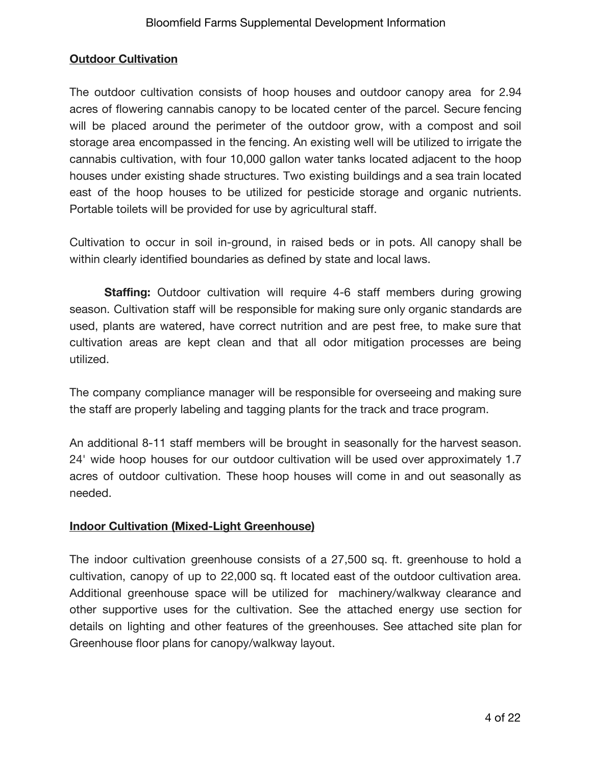# **Outdoor Cultivation**

The outdoor cultivation consists of hoop houses and outdoor canopy area for 2.94 acres of flowering cannabis canopy to be located center of the parcel. Secure fencing will be placed around the perimeter of the outdoor grow, with a compost and soil storage area encompassed in the fencing. An existing well will be utilized to irrigate the cannabis cultivation, with four 10,000 gallon water tanks located adjacent to the hoop houses under existing shade structures. Two existing buildings and a sea train located east of the hoop houses to be utilized for pesticide storage and organic nutrients. Portable toilets will be provided for use by agricultural staff.

Cultivation to occur in soil in-ground, in raised beds or in pots. All canopy shall be within clearly identified boundaries as defined by state and local laws.

**Staffing:** Outdoor cultivation will require 4-6 staff members during growing season. Cultivation staff will be responsible for making sure only organic standards are used, plants are watered, have correct nutrition and are pest free, to make sure that cultivation areas are kept clean and that all odor mitigation processes are being utilized.

The company compliance manager will be responsible for overseeing and making sure the staff are properly labeling and tagging plants for the track and trace program.

An additional 8-11 staff members will be brought in seasonally for the harvest season. 24' wide hoop houses for our outdoor cultivation will be used over approximately 1.7 acres of outdoor cultivation. These hoop houses will come in and out seasonally as needed.

# **Indoor Cultivation (Mixed-Light Greenhouse)**

The indoor cultivation greenhouse consists of a 27,500 sq. ft. greenhouse to hold a cultivation, canopy of up to 22,000 sq. ft located east of the outdoor cultivation area. Additional greenhouse space will be utilized for machinery/walkway clearance and other supportive uses for the cultivation. See the attached energy use section for details on lighting and other features of the greenhouses. See attached site plan for Greenhouse floor plans for canopy/walkway layout.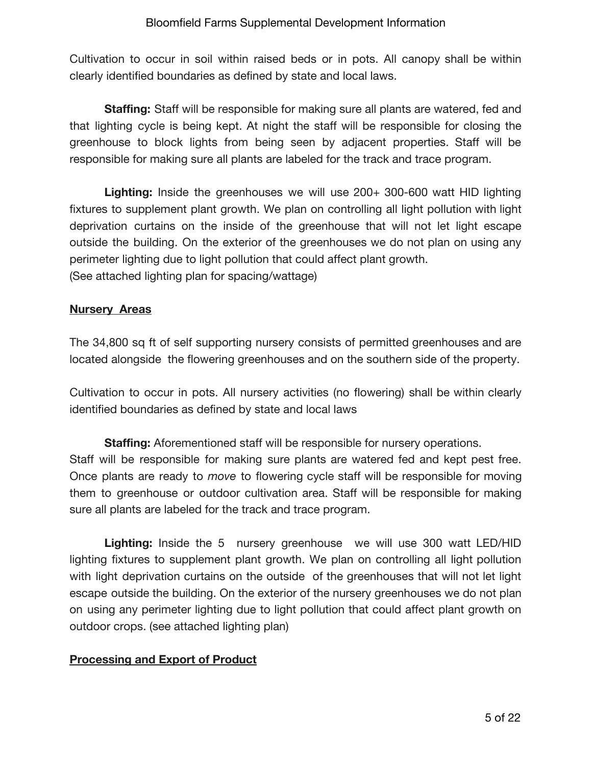Cultivation to occur in soil within raised beds or in pots. All canopy shall be within clearly identified boundaries as defined by state and local laws.

**Staffing:** Staff will be responsible for making sure all plants are watered, fed and that lighting cycle is being kept. At night the staff will be responsible for closing the greenhouse to block lights from being seen by adjacent properties. Staff will be responsible for making sure all plants are labeled for the track and trace program.

**Lighting:** Inside the greenhouses we will use 200+ 300-600 watt HID lighting fixtures to supplement plant growth. We plan on controlling all light pollution with light deprivation curtains on the inside of the greenhouse that will not let light escape outside the building. On the exterior of the greenhouses we do not plan on using any perimeter lighting due to light pollution that could affect plant growth. (See attached lighting plan for spacing/wattage)

### **Nursery Areas**

The 34,800 sq ft of self supporting nursery consists of permitted greenhouses and are located alongside the flowering greenhouses and on the southern side of the property.

Cultivation to occur in pots. All nursery activities (no flowering) shall be within clearly identified boundaries as defined by state and local laws

**Staffing:** Aforementioned staff will be responsible for nursery operations. Staff will be responsible for making sure plants are watered fed and kept pest free. Once plants are ready to *move* to flowering cycle staff will be responsible for moving them to greenhouse or outdoor cultivation area. Staff will be responsible for making sure all plants are labeled for the track and trace program.

**Lighting:** Inside the 5 nursery greenhouse we will use 300 watt LED/HID lighting fixtures to supplement plant growth. We plan on controlling all light pollution with light deprivation curtains on the outside of the greenhouses that will not let light escape outside the building. On the exterior of the nursery greenhouses we do not plan on using any perimeter lighting due to light pollution that could affect plant growth on outdoor crops. (see attached lighting plan)

### **Processing and Export of Product**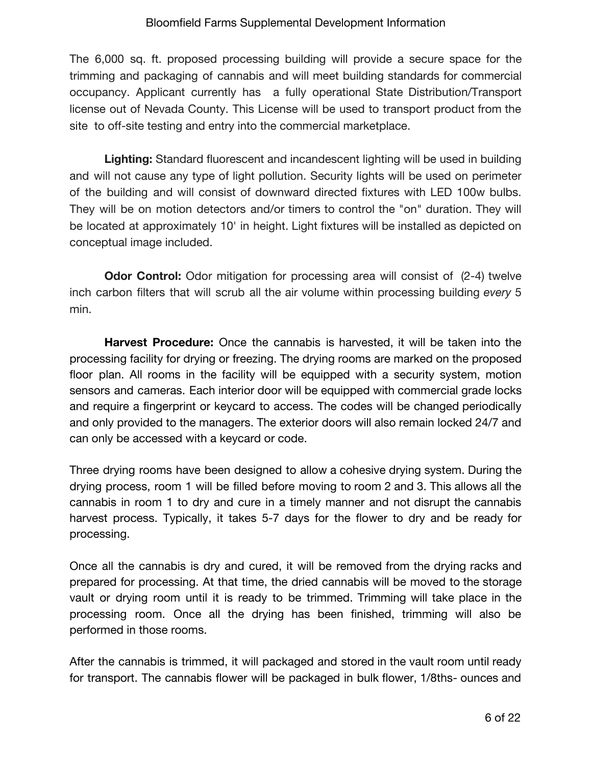The 6,000 sq. ft. proposed processing building will provide a secure space for the trimming and packaging of cannabis and will meet building standards for commercial occupancy. Applicant currently has a fully operational State Distribution/Transport license out of Nevada County. This License will be used to transport product from the site to off-site testing and entry into the commercial marketplace.

**Lighting:** Standard fluorescent and incandescent lighting will be used in building and will not cause any type of light pollution. Security lights will be used on perimeter of the building and will consist of downward directed fixtures with LED 100w bulbs. They will be on motion detectors and/or timers to control the "on" duration. They will be located at approximately 10' in height. Light fixtures will be installed as depicted on conceptual image included.

**Odor Control:** Odor mitigation for processing area will consist of (2-4) twelve inch carbon filters that will scrub all the air volume within processing building *every* 5 min.

**Harvest Procedure:** Once the cannabis is harvested, it will be taken into the processing facility for drying or freezing. The drying rooms are marked on the proposed floor plan. All rooms in the facility will be equipped with a security system, motion sensors and cameras. Each interior door will be equipped with commercial grade locks and require a fingerprint or keycard to access. The codes will be changed periodically and only provided to the managers. The exterior doors will also remain locked 24/7 and can only be accessed with a keycard or code.

Three drying rooms have been designed to allow a cohesive drying system. During the drying process, room 1 will be filled before moving to room 2 and 3. This allows all the cannabis in room 1 to dry and cure in a timely manner and not disrupt the cannabis harvest process. Typically, it takes 5-7 days for the flower to dry and be ready for processing.

Once all the cannabis is dry and cured, it will be removed from the drying racks and prepared for processing. At that time, the dried cannabis will be moved to the storage vault or drying room until it is ready to be trimmed. Trimming will take place in the processing room. Once all the drying has been finished, trimming will also be performed in those rooms.

After the cannabis is trimmed, it will packaged and stored in the vault room until ready for transport. The cannabis flower will be packaged in bulk flower, 1/8ths- ounces and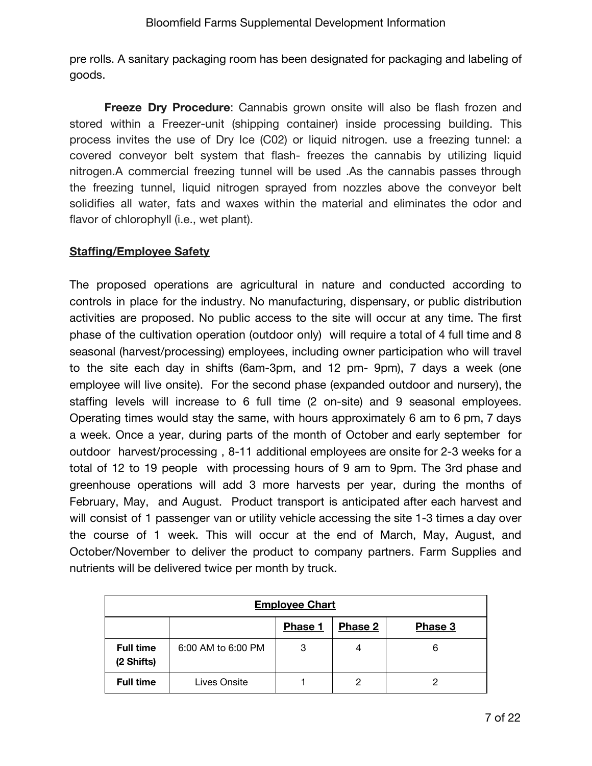pre rolls. A sanitary packaging room has been designated for packaging and labeling of goods.

**Freeze Dry Procedure**: Cannabis grown onsite will also be flash frozen and stored within a Freezer-unit (shipping container) inside processing building. This process invites the use of Dry Ice (C02) or liquid nitrogen. use a freezing tunnel: a covered conveyor belt system that flash- freezes the cannabis by utilizing liquid nitrogen.A commercial freezing tunnel will be used .As the cannabis passes through the freezing tunnel, liquid nitrogen sprayed from nozzles above the conveyor belt solidifies all water, fats and waxes within the material and eliminates the odor and flavor of chlorophyll (i.e., wet plant).

# **Staffing/Employee Safety**

The proposed operations are agricultural in nature and conducted according to controls in place for the industry. No manufacturing, dispensary, or public distribution activities are proposed. No public access to the site will occur at any time. The first phase of the cultivation operation (outdoor only) will require a total of 4 full time and 8 seasonal (harvest/processing) employees, including owner participation who will travel to the site each day in shifts (6am-3pm, and 12 pm- 9pm), 7 days a week (one employee will live onsite). For the second phase (expanded outdoor and nursery), the staffing levels will increase to 6 full time (2 on-site) and 9 seasonal employees. Operating times would stay the same, with hours approximately 6 am to 6 pm, 7 days a week. Once a year, during parts of the month of October and early september for outdoor harvest/processing , 8-11 additional employees are onsite for 2-3 weeks for a total of 12 to 19 people with processing hours of 9 am to 9pm. The 3rd phase and greenhouse operations will add 3 more harvests per year, during the months of February, May, and August. Product transport is anticipated after each harvest and will consist of 1 passenger van or utility vehicle accessing the site 1-3 times a day over the course of 1 week. This will occur at the end of March, May, August, and October/November to deliver the product to company partners. Farm Supplies and nutrients will be delivered twice per month by truck.

| <b>Employee Chart</b>                |                    |   |   |   |  |  |  |
|--------------------------------------|--------------------|---|---|---|--|--|--|
| Phase 2<br><b>Phase 1</b><br>Phase 3 |                    |   |   |   |  |  |  |
| <b>Full time</b><br>(2 Shifts)       | 6:00 AM to 6:00 PM | 3 | 4 | 6 |  |  |  |
| <b>Full time</b>                     | Lives Onsite       |   |   |   |  |  |  |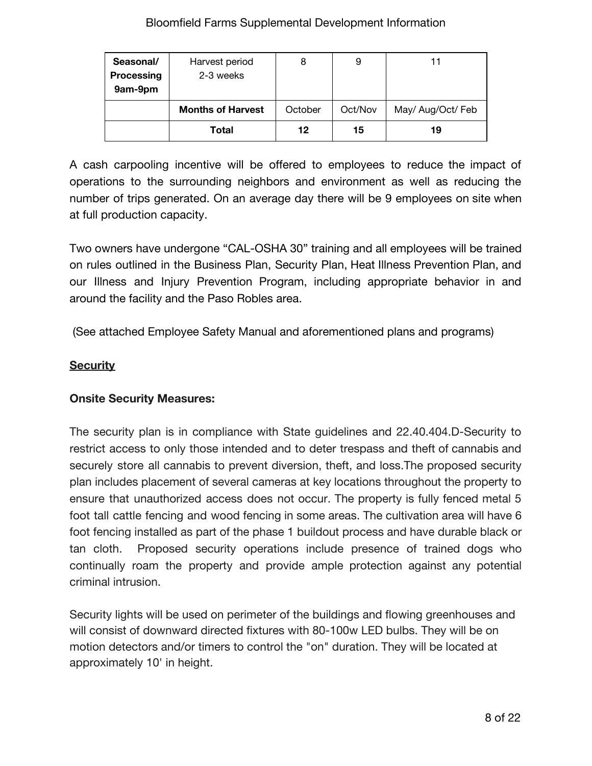| Seasonal/<br><b>Processing</b><br>9am-9pm | Harvest period<br>2-3 weeks | 8       | 9       | 11                |
|-------------------------------------------|-----------------------------|---------|---------|-------------------|
|                                           | <b>Months of Harvest</b>    | October | Oct/Nov | May/ Aug/Oct/ Feb |
|                                           | Total                       | 12      | 15      | 19                |

A cash carpooling incentive will be offered to employees to reduce the impact of operations to the surrounding neighbors and environment as well as reducing the number of trips generated. On an average day there will be 9 employees on site when at full production capacity.

Two owners have undergone "CAL-OSHA 30" training and all employees will be trained on rules outlined in the Business Plan, Security Plan, Heat Illness Prevention Plan, and our Illness and Injury Prevention Program, including appropriate behavior in and around the facility and the Paso Robles area.

(See attached Employee Safety Manual and aforementioned plans and programs)

## **Security**

### **Onsite Security Measures:**

The security plan is in compliance with State guidelines and 22.40.404.D-Security to restrict access to only those intended and to deter trespass and theft of cannabis and securely store all cannabis to prevent diversion, theft, and loss.The proposed security plan includes placement of several cameras at key locations throughout the property to ensure that unauthorized access does not occur. The property is fully fenced metal 5 foot tall cattle fencing and wood fencing in some areas. The cultivation area will have 6 foot fencing installed as part of the phase 1 buildout process and have durable black or tan cloth. Proposed security operations include presence of trained dogs who continually roam the property and provide ample protection against any potential criminal intrusion.

Security lights will be used on perimeter of the buildings and flowing greenhouses and will consist of downward directed fixtures with 80-100w LED bulbs. They will be on motion detectors and/or timers to control the "on" duration. They will be located at approximately 10' in height.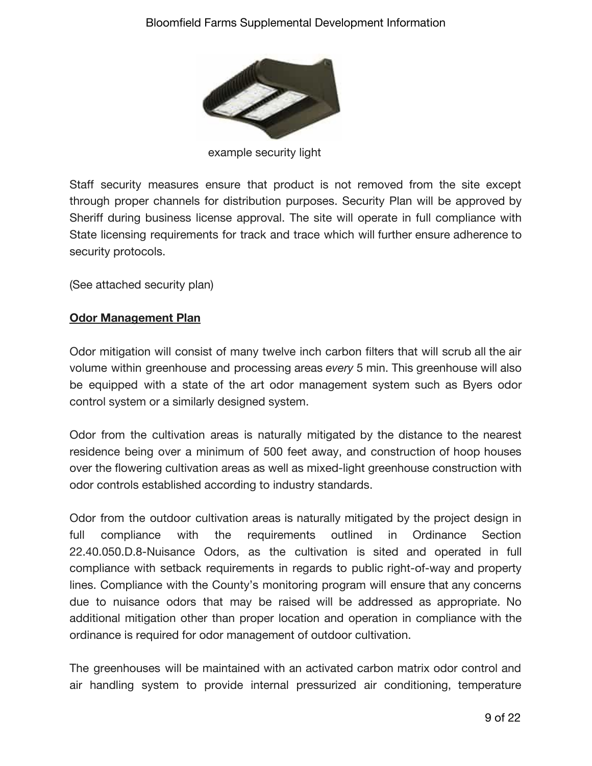

example security light

Staff security measures ensure that product is not removed from the site except through proper channels for distribution purposes. Security Plan will be approved by Sheriff during business license approval. The site will operate in full compliance with State licensing requirements for track and trace which will further ensure adherence to security protocols.

(See attached security plan)

## **Odor Management Plan**

Odor mitigation will consist of many twelve inch carbon filters that will scrub all the air volume within greenhouse and processing areas *every* 5 min. This greenhouse will also be equipped with a state of the art odor management system such as Byers odor control system or a similarly designed system.

Odor from the cultivation areas is naturally mitigated by the distance to the nearest residence being over a minimum of 500 feet away, and construction of hoop houses over the flowering cultivation areas as well as mixed-light greenhouse construction with odor controls established according to industry standards.

Odor from the outdoor cultivation areas is naturally mitigated by the project design in full compliance with the requirements outlined in Ordinance Section 22.40.050.D.8-Nuisance Odors, as the cultivation is sited and operated in full compliance with setback requirements in regards to public right-of-way and property lines. Compliance with the County's monitoring program will ensure that any concerns due to nuisance odors that may be raised will be addressed as appropriate. No additional mitigation other than proper location and operation in compliance with the ordinance is required for odor management of outdoor cultivation.

The greenhouses will be maintained with an activated carbon matrix odor control and air handling system to provide internal pressurized air conditioning, temperature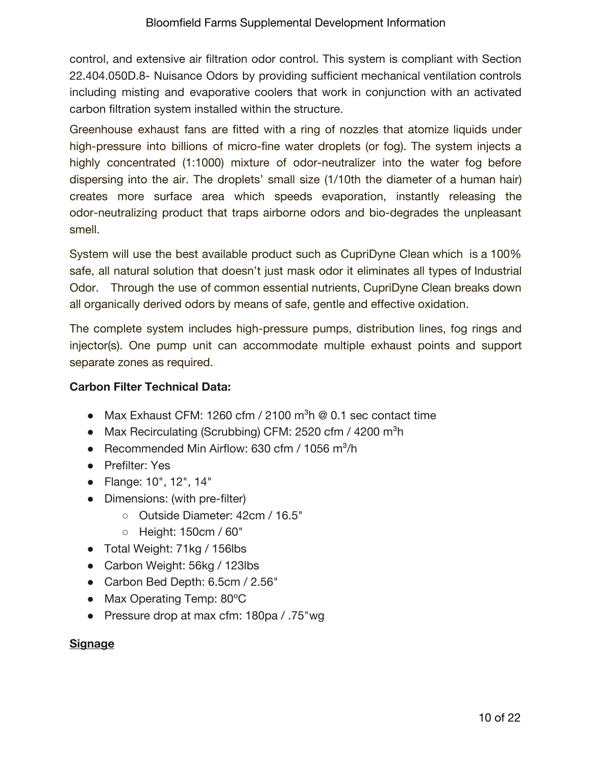control, and extensive air filtration odor control. This system is compliant with Section 22.404.050D.8- Nuisance Odors by providing sufficient mechanical ventilation controls including misting and evaporative coolers that work in conjunction with an activated carbon filtration system installed within the structure.

Greenhouse exhaust fans are fitted with a ring of nozzles that atomize liquids under high-pressure into billions of micro-fine water droplets (or fog). The system injects a highly concentrated (1:1000) mixture of odor-neutralizer into the water fog before dispersing into the air. The droplets' small size (1/10th the diameter of a human hair) creates more surface area which speeds evaporation, instantly releasing the odor-neutralizing product that traps airborne odors and bio-degrades the unpleasant smell.

System will use the best available product such as CupriDyne Clean which is a 100% safe, all natural solution that doesn't just mask odor it eliminates all types of Industrial Odor. Through the use of common essential nutrients, CupriDyne Clean breaks down all organically derived odors by means of safe, gentle and effective oxidation.

The complete system includes high-pressure pumps, distribution lines, fog rings and injector(s). One pump unit can accommodate multiple exhaust points and support separate zones as required.

# **Carbon Filter Technical Data:**

- Max Exhaust CFM: 1260 cfm / 2100  $m^3h \otimes 0.1$  sec contact time
- Max Recirculating (Scrubbing) CFM: 2520 cfm / 4200 m<sup>3</sup>h
- Recommended Min Airflow: 630 cfm / 1056 m<sup>3</sup>/h
- Prefilter: Yes
- Flange: 10", 12", 14"
- Dimensions: (with pre-filter)
	- Outside Diameter: 42cm / 16.5"
	- Height: 150cm / 60"
- Total Weight: 71kg / 156lbs
- Carbon Weight: 56kg / 123lbs
- Carbon Bed Depth: 6.5cm / 2.56"
- Max Operating Temp: 80°C
- Pressure drop at max cfm: 180pa / .75"wg

# **Signage**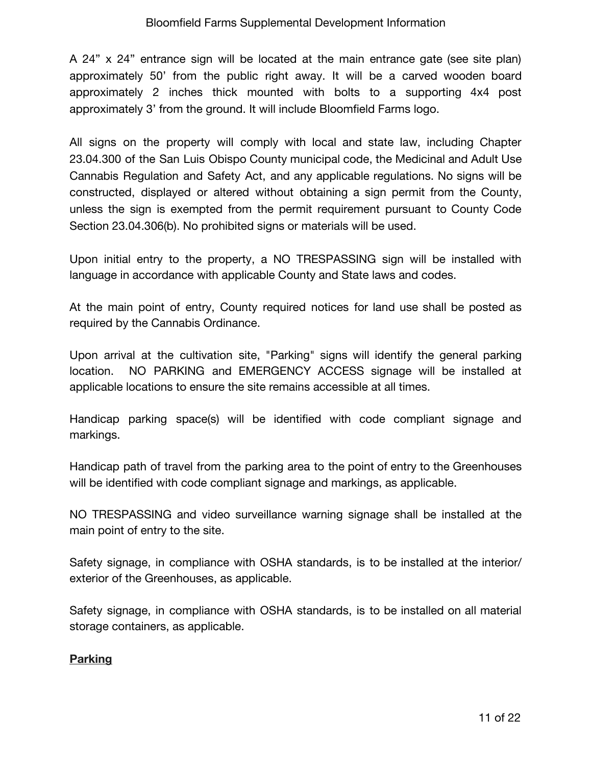A 24" x 24" entrance sign will be located at the main entrance gate (see site plan) approximately 50' from the public right away. It will be a carved wooden board approximately 2 inches thick mounted with bolts to a supporting 4x4 post approximately 3' from the ground. It will include Bloomfield Farms logo.

All signs on the property will comply with local and state law, including Chapter 23.04.300 of the San Luis Obispo County municipal code, the Medicinal and Adult Use Cannabis Regulation and Safety Act, and any applicable regulations. No signs will be constructed, displayed or altered without obtaining a sign permit from the County, unless the sign is exempted from the permit requirement pursuant to County Code Section 23.04.306(b). No prohibited signs or materials will be used.

Upon initial entry to the property, a NO TRESPASSING sign will be installed with language in accordance with applicable County and State laws and codes.

At the main point of entry, County required notices for land use shall be posted as required by the Cannabis Ordinance.

Upon arrival at the cultivation site, "Parking" signs will identify the general parking location. NO PARKING and EMERGENCY ACCESS signage will be installed at applicable locations to ensure the site remains accessible at all times.

Handicap parking space(s) will be identified with code compliant signage and markings.

Handicap path of travel from the parking area to the point of entry to the Greenhouses will be identified with code compliant signage and markings, as applicable.

NO TRESPASSING and video surveillance warning signage shall be installed at the main point of entry to the site.

Safety signage, in compliance with OSHA standards, is to be installed at the interior/ exterior of the Greenhouses, as applicable.

Safety signage, in compliance with OSHA standards, is to be installed on all material storage containers, as applicable.

### **Parking**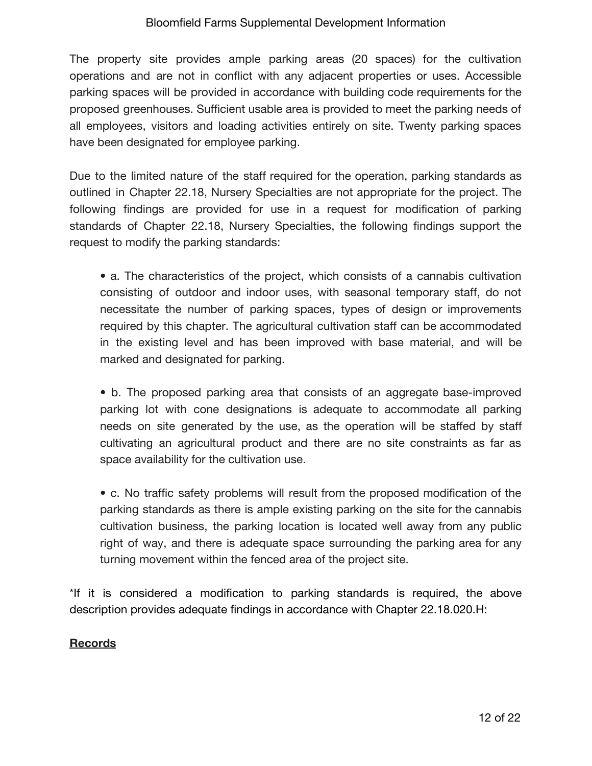The property site provides ample parking areas (20 spaces) for the cultivation operations and are not in conflict with any adjacent properties or uses. Accessible parking spaces will be provided in accordance with building code requirements for the proposed greenhouses. Sufficient usable area is provided to meet the parking needs of all employees, visitors and loading activities entirely on site. Twenty parking spaces have been designated for employee parking.

Due to the limited nature of the staff required for the operation, parking standards as outlined in Chapter 22.18, Nursery Specialties are not appropriate for the project. The following findings are provided for use in a request for modification of parking standards of Chapter 22.18, Nursery Specialties, the following findings support the request to modify the parking standards:

• a. The characteristics of the project, which consists of a cannabis cultivation consisting of outdoor and indoor uses, with seasonal temporary staff, do not necessitate the number of parking spaces, types of design or improvements required by this chapter. The agricultural cultivation staff can be accommodated in the existing level and has been improved with base material, and will be marked and designated for parking.

• b. The proposed parking area that consists of an aggregate base-improved parking lot with cone designations is adequate to accommodate all parking needs on site generated by the use, as the operation will be staffed by staff cultivating an agricultural product and there are no site constraints as far as space availability for the cultivation use.

• c. No traffic safety problems will result from the proposed modification of the parking standards as there is ample existing parking on the site for the cannabis cultivation business, the parking location is located well away from any public right of way, and there is adequate space surrounding the parking area for any turning movement within the fenced area of the project site.

\*If it is considered a modification to parking standards is required, the above description provides adequate findings in accordance with Chapter 22.18.020.H:

# **Records**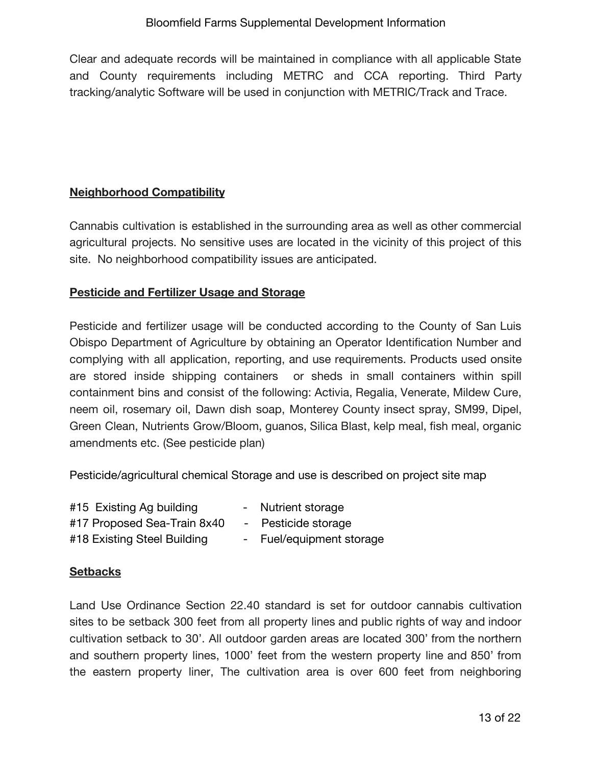Clear and adequate records will be maintained in compliance with all applicable State and County requirements including METRC and CCA reporting. Third Party tracking/analytic Software will be used in conjunction with METRIC/Track and Trace.

#### **Neighborhood Compatibility**

Cannabis cultivation is established in the surrounding area as well as other commercial agricultural projects. No sensitive uses are located in the vicinity of this project of this site. No neighborhood compatibility issues are anticipated.

### **Pesticide and Fertilizer Usage and Storage**

Pesticide and fertilizer usage will be conducted according to the County of San Luis Obispo Department of Agriculture by obtaining an Operator Identification Number and complying with all application, reporting, and use requirements. Products used onsite are stored inside shipping containers or sheds in small containers within spill containment bins and consist of the following: Activia, Regalia, Venerate, Mildew Cure, neem oil, rosemary oil, Dawn dish soap, Monterey County insect spray, SM99, Dipel, Green Clean, Nutrients Grow/Bloom, guanos, Silica Blast, kelp meal, fish meal, organic amendments etc. (See pesticide plan)

Pesticide/agricultural chemical Storage and use is described on project site map

| #15 Existing Ag building    | - Nutrient storage  |
|-----------------------------|---------------------|
| #17 Proposed Sea-Train 8x40 | - Pesticide storage |

#18 Existing Steel Building - Fuel/equipment storage

### **Setbacks**

Land Use Ordinance Section 22.40 standard is set for outdoor cannabis cultivation sites to be setback 300 feet from all property lines and public rights of way and indoor cultivation setback to 30'. All outdoor garden areas are located 300' from the northern and southern property lines, 1000' feet from the western property line and 850' from the eastern property liner, The cultivation area is over 600 feet from neighboring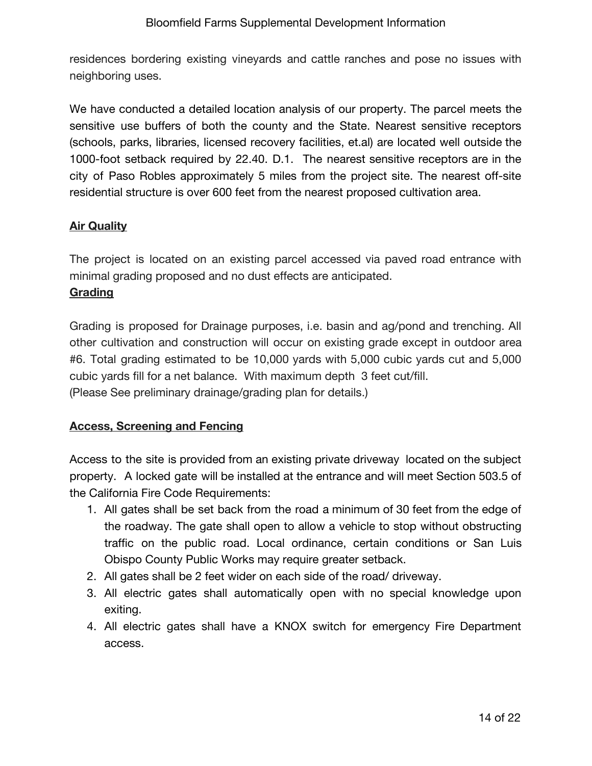residences bordering existing vineyards and cattle ranches and pose no issues with neighboring uses.

We have conducted a detailed location analysis of our property. The parcel meets the sensitive use buffers of both the county and the State. Nearest sensitive receptors (schools, parks, libraries, licensed recovery facilities, et.al) are located well outside the 1000-foot setback required by 22.40. D.1. The nearest sensitive receptors are in the city of Paso Robles approximately 5 miles from the project site. The nearest off-site residential structure is over 600 feet from the nearest proposed cultivation area.

### **Air Quality**

The project is located on an existing parcel accessed via paved road entrance with minimal grading proposed and no dust effects are anticipated.

### **Grading**

Grading is proposed for Drainage purposes, i.e. basin and ag/pond and trenching. All other cultivation and construction will occur on existing grade except in outdoor area #6. Total grading estimated to be 10,000 yards with 5,000 cubic yards cut and 5,000 cubic yards fill for a net balance. With maximum depth 3 feet cut/fill. (Please See preliminary drainage/grading plan for details.)

### **Access, Screening and Fencing**

Access to the site is provided from an existing private driveway located on the subject property. A locked gate will be installed at the entrance and will meet Section 503.5 of the California Fire Code Requirements:

- 1. All gates shall be set back from the road a minimum of 30 feet from the edge of the roadway. The gate shall open to allow a vehicle to stop without obstructing traffic on the public road. Local ordinance, certain conditions or San Luis Obispo County Public Works may require greater setback.
- 2. All gates shall be 2 feet wider on each side of the road/ driveway.
- 3. All electric gates shall automatically open with no special knowledge upon exiting.
- 4. All electric gates shall have a KNOX switch for emergency Fire Department access.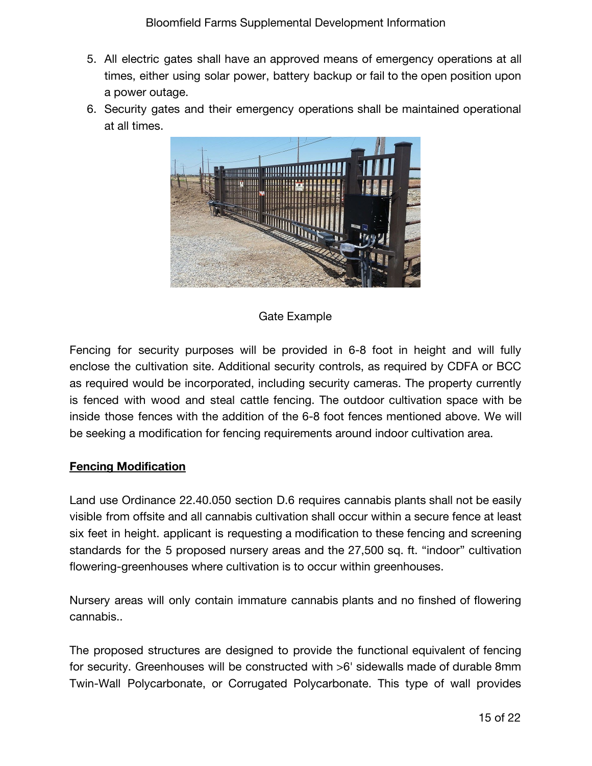- 5. All electric gates shall have an approved means of emergency operations at all times, either using solar power, battery backup or fail to the open position upon a power outage.
- 6. Security gates and their emergency operations shall be maintained operational at all times.



### Gate Example

Fencing for security purposes will be provided in 6-8 foot in height and will fully enclose the cultivation site. Additional security controls, as required by CDFA or BCC as required would be incorporated, including security cameras. The property currently is fenced with wood and steal cattle fencing. The outdoor cultivation space with be inside those fences with the addition of the 6-8 foot fences mentioned above. We will be seeking a modification for fencing requirements around indoor cultivation area.

### **Fencing Modification**

Land use Ordinance 22.40.050 section D.6 requires cannabis plants shall not be easily visible from offsite and all cannabis cultivation shall occur within a secure fence at least six feet in height. applicant is requesting a modification to these fencing and screening standards for the 5 proposed nursery areas and the 27,500 sq. ft. "indoor" cultivation flowering-greenhouses where cultivation is to occur within greenhouses.

Nursery areas will only contain immature cannabis plants and no finshed of flowering cannabis..

The proposed structures are designed to provide the functional equivalent of fencing for security. Greenhouses will be constructed with >6' sidewalls made of durable 8mm Twin-Wall Polycarbonate, or Corrugated Polycarbonate. This type of wall provides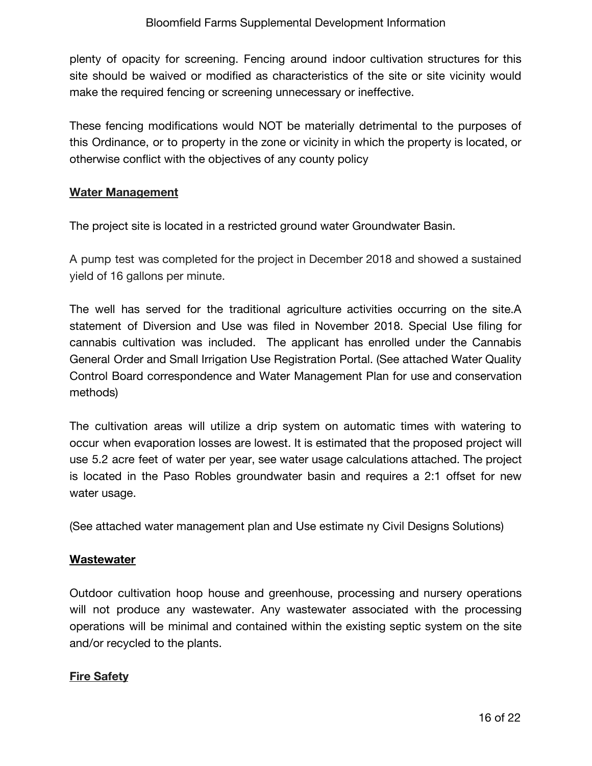plenty of opacity for screening. Fencing around indoor cultivation structures for this site should be waived or modified as characteristics of the site or site vicinity would make the required fencing or screening unnecessary or ineffective.

These fencing modifications would NOT be materially detrimental to the purposes of this Ordinance, or to property in the zone or vicinity in which the property is located, or otherwise conflict with the objectives of any county policy

### **Water Management**

The project site is located in a restricted ground water Groundwater Basin.

A pump test was completed for the project in December 2018 and showed a sustained yield of 16 gallons per minute.

The well has served for the traditional agriculture activities occurring on the site.A statement of Diversion and Use was filed in November 2018. Special Use filing for cannabis cultivation was included. The applicant has enrolled under the Cannabis General Order and Small Irrigation Use Registration Portal. (See attached Water Quality Control Board correspondence and Water Management Plan for use and conservation methods)

The cultivation areas will utilize a drip system on automatic times with watering to occur when evaporation losses are lowest. It is estimated that the proposed project will use 5.2 acre feet of water per year, see water usage calculations attached. The project is located in the Paso Robles groundwater basin and requires a 2:1 offset for new water usage.

(See attached water management plan and Use estimate ny Civil Designs Solutions)

### **Wastewater**

Outdoor cultivation hoop house and greenhouse, processing and nursery operations will not produce any wastewater. Any wastewater associated with the processing operations will be minimal and contained within the existing septic system on the site and/or recycled to the plants.

# **Fire Safety**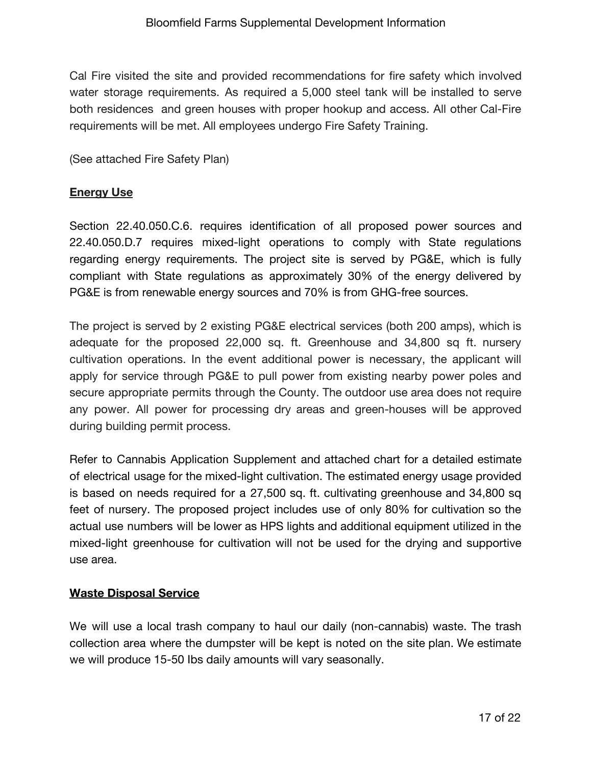Cal Fire visited the site and provided recommendations for fire safety which involved water storage requirements. As required a 5,000 steel tank will be installed to serve both residences and green houses with proper hookup and access. All other Cal-Fire requirements will be met. All employees undergo Fire Safety Training.

(See attached Fire Safety Plan)

## **Energy Use**

Section 22.40.050.C.6. requires identification of all proposed power sources and 22.40.050.D.7 requires mixed-light operations to comply with State regulations regarding energy requirements. The project site is served by PG&E, which is fully compliant with State regulations as approximately 30% of the energy delivered by PG&E is from renewable energy sources and 70% is from GHG-free sources.

The project is served by 2 existing PG&E electrical services (both 200 amps), which is adequate for the proposed 22,000 sq. ft. Greenhouse and 34,800 sq ft. nursery cultivation operations. In the event additional power is necessary, the applicant will apply for service through PG&E to pull power from existing nearby power poles and secure appropriate permits through the County. The outdoor use area does not require any power. All power for processing dry areas and green-houses will be approved during building permit process.

Refer to Cannabis Application Supplement and attached chart for a detailed estimate of electrical usage for the mixed-light cultivation. The estimated energy usage provided is based on needs required for a 27,500 sq. ft. cultivating greenhouse and 34,800 sq feet of nursery. The proposed project includes use of only 80% for cultivation so the actual use numbers will be lower as HPS lights and additional equipment utilized in the mixed-light greenhouse for cultivation will not be used for the drying and supportive use area.

### **Waste Disposal Service**

We will use a local trash company to haul our daily (non-cannabis) waste. The trash collection area where the dumpster will be kept is noted on the site plan. We estimate we will produce 15-50 Ibs daily amounts will vary seasonally.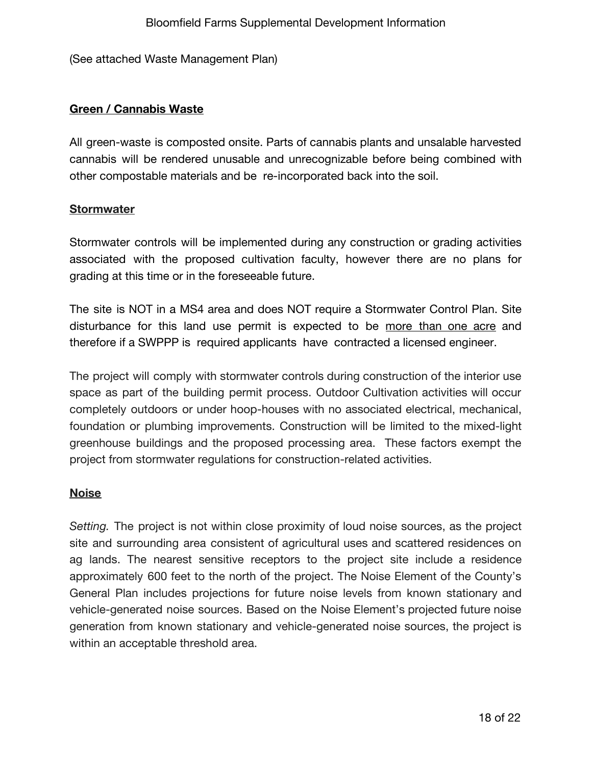(See attached Waste Management Plan)

### **Green / Cannabis Waste**

All green-waste is composted onsite. Parts of cannabis plants and unsalable harvested cannabis will be rendered unusable and unrecognizable before being combined with other compostable materials and be re-incorporated back into the soil.

#### **Stormwater**

Stormwater controls will be implemented during any construction or grading activities associated with the proposed cultivation faculty, however there are no plans for grading at this time or in the foreseeable future.

The site is NOT in a MS4 area and does NOT require a Stormwater Control Plan. Site disturbance for this land use permit is expected to be more than one acre and therefore if a SWPPP is required applicants have contracted a licensed engineer.

The project will comply with stormwater controls during construction of the interior use space as part of the building permit process. Outdoor Cultivation activities will occur completely outdoors or under hoop-houses with no associated electrical, mechanical, foundation or plumbing improvements. Construction will be limited to the mixed-light greenhouse buildings and the proposed processing area. These factors exempt the project from stormwater regulations for construction-related activities.

#### **Noise**

*Setting.* The project is not within close proximity of loud noise sources, as the project site and surrounding area consistent of agricultural uses and scattered residences on ag lands. The nearest sensitive receptors to the project site include a residence approximately 600 feet to the north of the project. The Noise Element of the County's General Plan includes projections for future noise levels from known stationary and vehicle-generated noise sources. Based on the Noise Element's projected future noise generation from known stationary and vehicle-generated noise sources, the project is within an acceptable threshold area.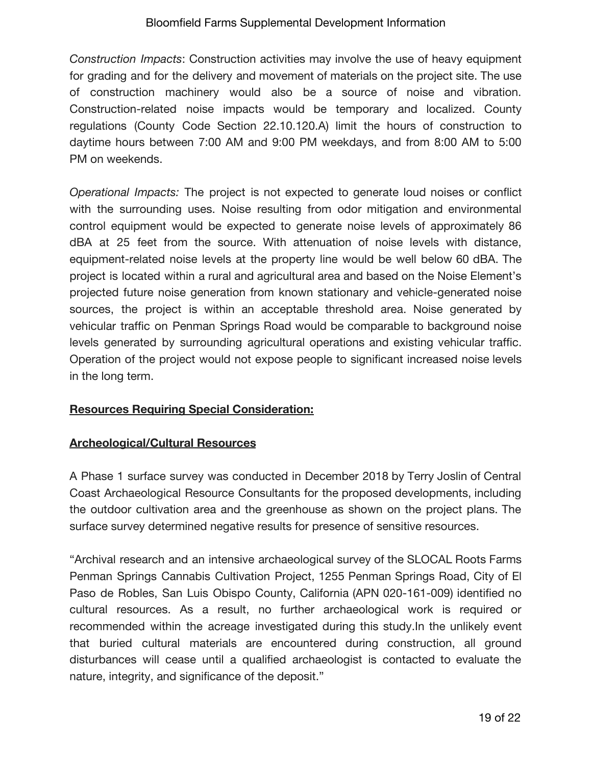*Construction Impacts*: Construction activities may involve the use of heavy equipment for grading and for the delivery and movement of materials on the project site. The use of construction machinery would also be a source of noise and vibration. Construction-related noise impacts would be temporary and localized. County regulations (County Code Section 22.10.120.A) limit the hours of construction to daytime hours between 7:00 AM and 9:00 PM weekdays, and from 8:00 AM to 5:00 PM on weekends.

*Operational Impacts:* The project is not expected to generate loud noises or conflict with the surrounding uses. Noise resulting from odor mitigation and environmental control equipment would be expected to generate noise levels of approximately 86 dBA at 25 feet from the source. With attenuation of noise levels with distance, equipment-related noise levels at the property line would be well below 60 dBA. The project is located within a rural and agricultural area and based on the Noise Element's projected future noise generation from known stationary and vehicle-generated noise sources, the project is within an acceptable threshold area. Noise generated by vehicular traffic on Penman Springs Road would be comparable to background noise levels generated by surrounding agricultural operations and existing vehicular traffic. Operation of the project would not expose people to significant increased noise levels in the long term.

### **Resources Requiring Special Consideration:**

### **Archeological/Cultural Resources**

A Phase 1 surface survey was conducted in December 2018 by Terry Joslin of Central Coast Archaeological Resource Consultants for the proposed developments, including the outdoor cultivation area and the greenhouse as shown on the project plans. The surface survey determined negative results for presence of sensitive resources.

"Archival research and an intensive archaeological survey of the SLOCAL Roots Farms Penman Springs Cannabis Cultivation Project, 1255 Penman Springs Road, City of El Paso de Robles, San Luis Obispo County, California (APN 020-161-009) identified no cultural resources. As a result, no further archaeological work is required or recommended within the acreage investigated during this study.In the unlikely event that buried cultural materials are encountered during construction, all ground disturbances will cease until a qualified archaeologist is contacted to evaluate the nature, integrity, and significance of the deposit."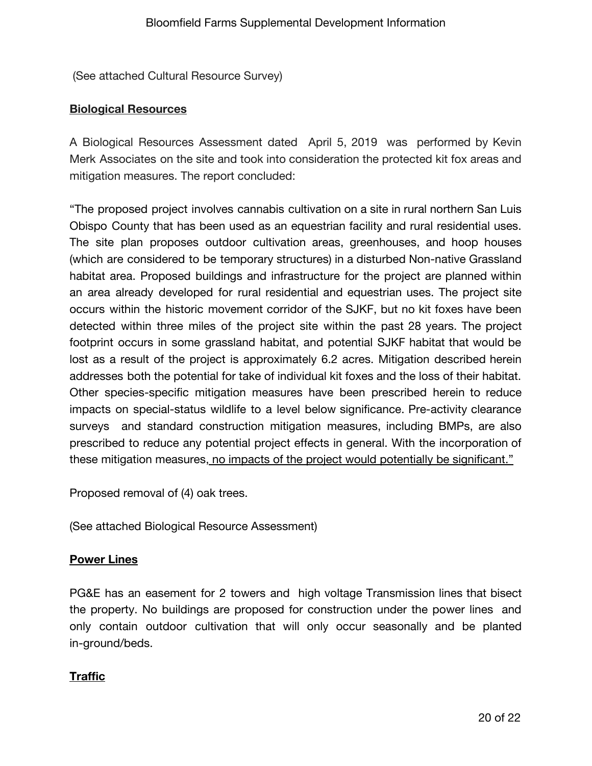(See attached Cultural Resource Survey)

### **Biological Resources**

A Biological Resources Assessment dated April 5, 2019 was performed by Kevin Merk Associates on the site and took into consideration the protected kit fox areas and mitigation measures. The report concluded:

"The proposed project involves cannabis cultivation on a site in rural northern San Luis Obispo County that has been used as an equestrian facility and rural residential uses. The site plan proposes outdoor cultivation areas, greenhouses, and hoop houses (which are considered to be temporary structures) in a disturbed Non-native Grassland habitat area. Proposed buildings and infrastructure for the project are planned within an area already developed for rural residential and equestrian uses. The project site occurs within the historic movement corridor of the SJKF, but no kit foxes have been detected within three miles of the project site within the past 28 years. The project footprint occurs in some grassland habitat, and potential SJKF habitat that would be lost as a result of the project is approximately 6.2 acres. Mitigation described herein addresses both the potential for take of individual kit foxes and the loss of their habitat. Other species-specific mitigation measures have been prescribed herein to reduce impacts on special-status wildlife to a level below significance. Pre-activity clearance surveys and standard construction mitigation measures, including BMPs, are also prescribed to reduce any potential project effects in general. With the incorporation of these mitigation measures, no impacts of the project would potentially be significant."

Proposed removal of (4) oak trees.

(See attached Biological Resource Assessment)

### **Power Lines**

PG&E has an easement for 2 towers and high voltage Transmission lines that bisect the property. No buildings are proposed for construction under the power lines and only contain outdoor cultivation that will only occur seasonally and be planted in-ground/beds.

### **Traffic**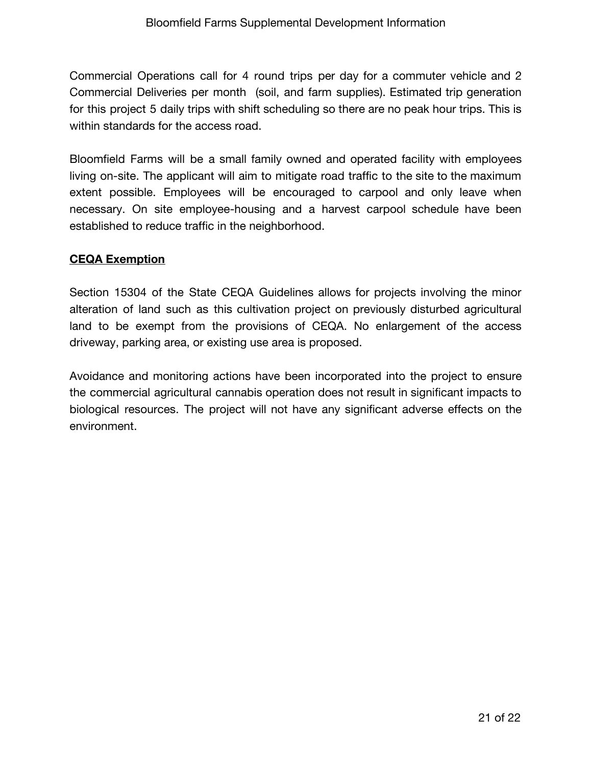Commercial Operations call for 4 round trips per day for a commuter vehicle and 2 Commercial Deliveries per month (soil, and farm supplies). Estimated trip generation for this project 5 daily trips with shift scheduling so there are no peak hour trips. This is within standards for the access road.

Bloomfield Farms will be a small family owned and operated facility with employees living on-site. The applicant will aim to mitigate road traffic to the site to the maximum extent possible. Employees will be encouraged to carpool and only leave when necessary. On site employee-housing and a harvest carpool schedule have been established to reduce traffic in the neighborhood.

## **CEQA Exemption**

Section 15304 of the State CEQA Guidelines allows for projects involving the minor alteration of land such as this cultivation project on previously disturbed agricultural land to be exempt from the provisions of CEQA. No enlargement of the access driveway, parking area, or existing use area is proposed.

Avoidance and monitoring actions have been incorporated into the project to ensure the commercial agricultural cannabis operation does not result in significant impacts to biological resources. The project will not have any significant adverse effects on the environment.